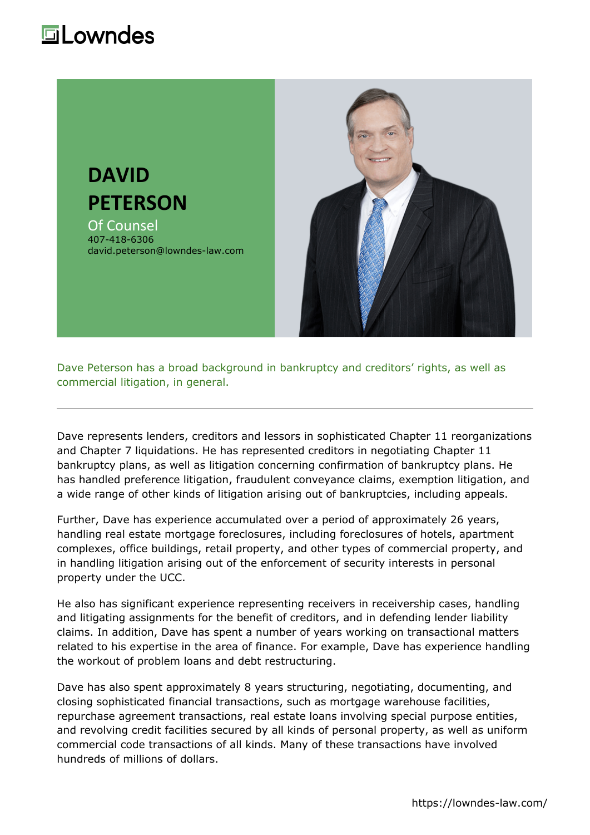## **Lowndes**



Dave Peterson has a broad background in bankruptcy and creditors' rights, as well as commercial litigation, in general.

Dave represents lenders, creditors and lessors in sophisticated Chapter 11 reorganizations and Chapter 7 liquidations. He has represented creditors in negotiating Chapter 11 bankruptcy plans, as well as litigation concerning confirmation of bankruptcy plans. He has handled preference litigation, fraudulent conveyance claims, exemption litigation, and a wide range of other kinds of litigation arising out of bankruptcies, including appeals.

Further, Dave has experience accumulated over a period of approximately 26 years, handling real estate mortgage foreclosures, including foreclosures of hotels, apartment complexes, office buildings, retail property, and other types of commercial property, and in handling litigation arising out of the enforcement of security interests in personal property under the UCC.

He also has significant experience representing receivers in receivership cases, handling and litigating assignments for the benefit of creditors, and in defending lender liability claims. In addition, Dave has spent a number of years working on transactional matters related to his expertise in the area of finance. For example, Dave has experience handling the workout of problem loans and debt restructuring.

Dave has also spent approximately 8 years structuring, negotiating, documenting, and closing sophisticated financial transactions, such as mortgage warehouse facilities, repurchase agreement transactions, real estate loans involving special purpose entities, and revolving credit facilities secured by all kinds of personal property, as well as uniform commercial code transactions of all kinds. Many of these transactions have involved hundreds of millions of dollars.